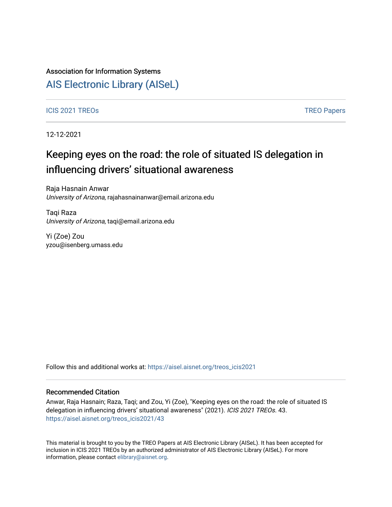## Association for Information Systems

## [AIS Electronic Library \(AISeL\)](https://aisel.aisnet.org/)

### ICIS 2021 TREOS Notes that the contract of the contract of the contract of the contract of the contract of the contract of the contract of the contract of the contract of the contract of the contract of the contract of the

12-12-2021

# Keeping eyes on the road: the role of situated IS delegation in influencing drivers' situational awareness

Raja Hasnain Anwar University of Arizona, rajahasnainanwar@email.arizona.edu

Taqi Raza University of Arizona, taqi@email.arizona.edu

Yi (Zoe) Zou yzou@isenberg.umass.edu

Follow this and additional works at: [https://aisel.aisnet.org/treos\\_icis2021](https://aisel.aisnet.org/treos_icis2021?utm_source=aisel.aisnet.org%2Ftreos_icis2021%2F43&utm_medium=PDF&utm_campaign=PDFCoverPages) 

### Recommended Citation

Anwar, Raja Hasnain; Raza, Taqi; and Zou, Yi (Zoe), "Keeping eyes on the road: the role of situated IS delegation in influencing drivers' situational awareness" (2021). ICIS 2021 TREOs. 43. [https://aisel.aisnet.org/treos\\_icis2021/43](https://aisel.aisnet.org/treos_icis2021/43?utm_source=aisel.aisnet.org%2Ftreos_icis2021%2F43&utm_medium=PDF&utm_campaign=PDFCoverPages) 

This material is brought to you by the TREO Papers at AIS Electronic Library (AISeL). It has been accepted for inclusion in ICIS 2021 TREOs by an authorized administrator of AIS Electronic Library (AISeL). For more information, please contact [elibrary@aisnet.org.](mailto:elibrary@aisnet.org%3E)